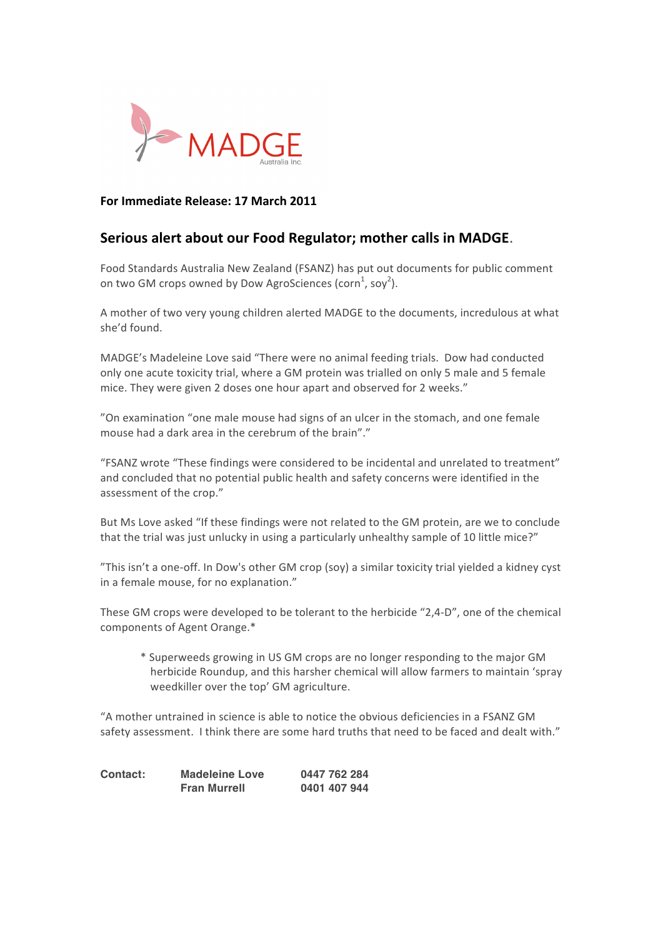

## **For
Immediate
Release:
17
March
2011**

# **Serious
alert
about
our
Food
Regulator;
mother
calls
in
MADGE**.

Food Standards Australia New Zealand (FSANZ) has put out documents for public comment on two GM crops owned by Dow AgroSciences (corn $^1$ , soy $^2$ ).

A mother of two very young children alerted MADGE to the documents, incredulous at what she'd
found.

MADGE's
Madeleine
Love
said
"There
were
no
animal
feeding
trials.

Dow
had
conducted only
one
acute
toxicity
trial,
where
a
GM
protein
was
trialled
on
only
5
male
and
5
female mice.
They
were
given
2
doses
one
hour
apart
and
observed
for
2
weeks."

"On examination "one male mouse had signs of an ulcer in the stomach, and one female mouse had a dark area in the cerebrum of the brain"."

"FSANZ wrote "These findings were considered to be incidental and unrelated to treatment" and concluded that no potential public health and safety concerns were identified in the assessment
of
the
crop."

But Ms Love asked "If these findings were not related to the GM protein, are we to conclude that the trial was just unlucky in using a particularly unhealthy sample of 10 little mice?"

"This
isn't
a
one‐off.
In
Dow's
other
GM
crop
(soy)
a
similar
toxicity
trial
yielded
a
kidney
cyst in
a
female
mouse,
for
no
explanation."

These GM crops were developed to be tolerant to the herbicide "2,4-D", one of the chemical components
of
Agent
Orange.\*

\*
Superweeds
growing
in
US
GM
crops
are
no
longer
responding
to
the
major
GM herbicide Roundup, and this harsher chemical will allow farmers to maintain 'spray weedkiller
over
the
top'
GM
agriculture.

"A mother untrained in science is able to notice the obvious deficiencies in a FSANZ GM safety assessment. I think there are some hard truths that need to be faced and dealt with."

| Contact: | <b>Madeleine Love</b> | 0447 762 284 |
|----------|-----------------------|--------------|
|          | <b>Fran Murrell</b>   | 0401 407 944 |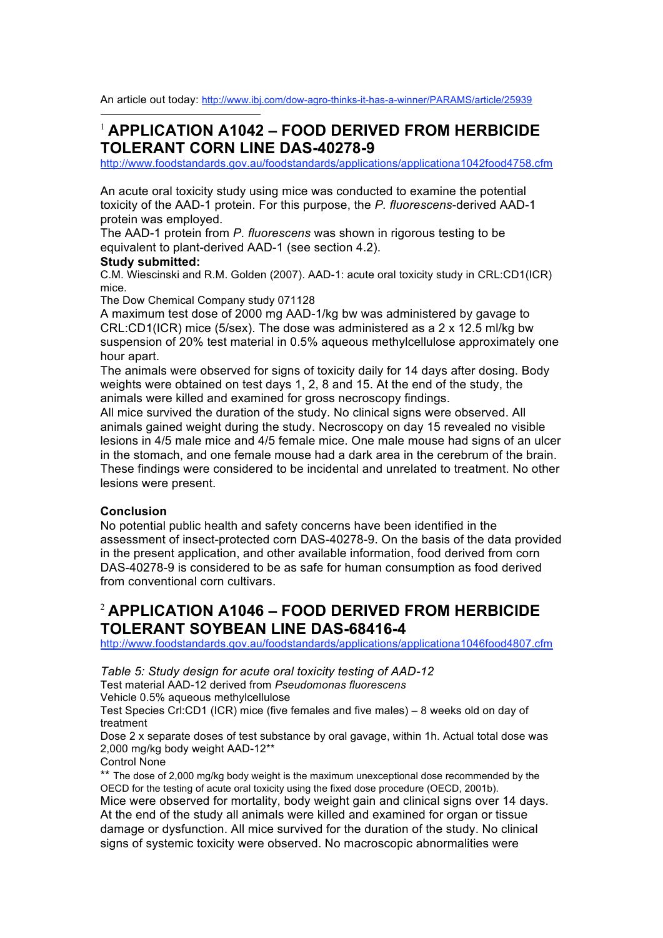An article out today: http://www.ibj.com/dow-agro-thinks-it-has-a-winner/PARAMS/article/25939

# 1 **APPLICATION A1042 – FOOD DERIVED FROM HERBICIDE TOLERANT CORN LINE DAS-40278-9**

http://www.foodstandards.gov.au/foodstandards/applications/applicationa1042food4758.cfm

An acute oral toxicity study using mice was conducted to examine the potential toxicity of the AAD-1 protein. For this purpose, the *P. fluorescens*-derived AAD-1 protein was employed.

The AAD-1 protein from *P. fluorescens* was shown in rigorous testing to be equivalent to plant-derived AAD-1 (see section 4.2).

#### **Study submitted:**

C.M. Wiescinski and R.M. Golden (2007). AAD-1: acute oral toxicity study in CRL:CD1(ICR) mice.

The Dow Chemical Company study 071128

A maximum test dose of 2000 mg AAD-1/kg bw was administered by gavage to CRL:CD1(ICR) mice (5/sex). The dose was administered as a 2 x 12.5 ml/kg bw suspension of 20% test material in 0.5% aqueous methylcellulose approximately one hour apart.

The animals were observed for signs of toxicity daily for 14 days after dosing. Body weights were obtained on test days 1, 2, 8 and 15. At the end of the study, the animals were killed and examined for gross necroscopy findings.

All mice survived the duration of the study. No clinical signs were observed. All animals gained weight during the study. Necroscopy on day 15 revealed no visible lesions in 4/5 male mice and 4/5 female mice. One male mouse had signs of an ulcer in the stomach, and one female mouse had a dark area in the cerebrum of the brain. These findings were considered to be incidental and unrelated to treatment. No other lesions were present.

### **Conclusion**

No potential public health and safety concerns have been identified in the assessment of insect-protected corn DAS-40278-9. On the basis of the data provided in the present application, and other available information, food derived from corn DAS-40278-9 is considered to be as safe for human consumption as food derived from conventional corn cultivars.

# <sup>2</sup> **APPLICATION A1046 – FOOD DERIVED FROM HERBICIDE TOLERANT SOYBEAN LINE DAS-68416-4**

http://www.foodstandards.gov.au/foodstandards/applications/applicationa1046food4807.cfm

*Table 5: Study design for acute oral toxicity testing of AAD-12*

Test material AAD-12 derived from *Pseudomonas fluorescens*

Vehicle 0.5% aqueous methylcellulose

Test Species Crl:CD1 (ICR) mice (five females and five males) – 8 weeks old on day of treatment

Dose 2 x separate doses of test substance by oral gavage, within 1h. Actual total dose was 2,000 mg/kg body weight AAD-12\*\*

Control None

\*\* The dose of 2,000 mg/kg body weight is the maximum unexceptional dose recommended by the OECD for the testing of acute oral toxicity using the fixed dose procedure (OECD, 2001b). Mice were observed for mortality, body weight gain and clinical signs over 14 days. At the end of the study all animals were killed and examined for organ or tissue damage or dysfunction. All mice survived for the duration of the study. No clinical signs of systemic toxicity were observed. No macroscopic abnormalities were